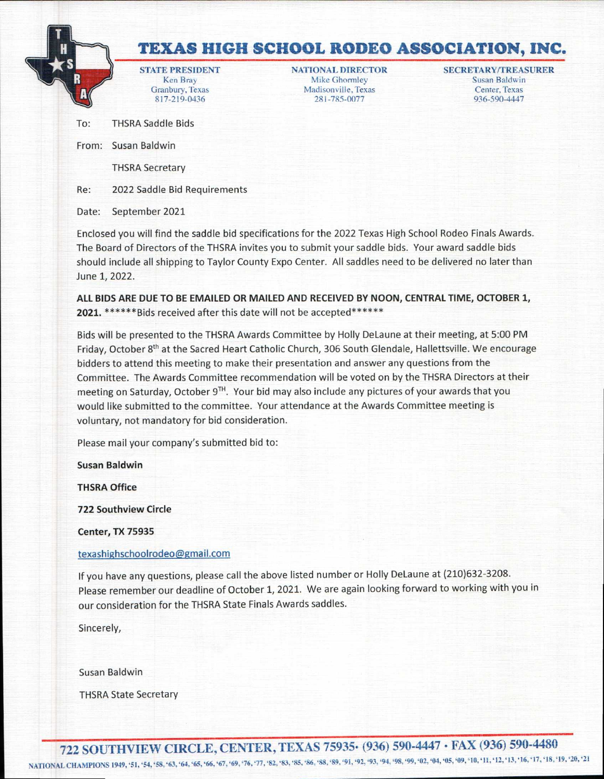## **<sup>H</sup>la TEXAS HIGH SCHOOL RODEO ASSOCIATION, INC.**

Granbury, Texas 817-219-0436

Madisonville, Texas Center, Texas 281-785-00  $R = 1$  Ken Bray Mike Ghormley Susan Baldwin

936-590-4447 **STATEPRESIDENT NATIONAL DIRECTOR SECRETARY/TREASURER** 

To: THSRA Saddle Bids

From: Susan Baldwin

I

A (

THSRA Secretary

Re: 2022 Saddle Bid Requirements

Date: September 2021

Enclosed you will find the saddle bid specifications for the 2022 Texas High School Rodeo Finals Awards. The Board of Directors of the THSRA invites you to submit your saddle bids. Your award saddle bids should include all shipping to Taylor County Expo Center. All saddles need to be delivered no later than June 1, 2022.

**ALL BIDS ARE DUE TO BE EMAILED OR MAILED AND RECEIVED BY NOON, CENTRAL TIME, OCTOBER 1,**  2021. \*\*\*\*\*\*Bids received after this date will not be accepted\*\*\*\*\*\*

Bids will be presented to the THSRA Awards Committee by Holly DeLaune at their meeting, at 5:00 PM Friday, October 8<sup>th</sup> at the Sacred Heart Catholic Church, 306 South Glendale, Hallettsville. We encourage bidders to attend this meeting to make their presentation and answer any questions from the Committee. The Awards Committee recommendation will be voted on by the THSRA Directors at their meeting on Saturday, October  $9<sup>TH</sup>$ . Your bid may also include any pictures of your awards that you would like submitted to the committee. Your attendance at the Awards Committee meeting is voluntary, not mandatory for bid consideration.

Please mail your company's submitted bid to:

**Susan Baldwin** 

**THSRA Office** 

**722 Southview Circle** 

**Center, TX 75935** 

## texashighschoolrodeo@grnail.com

If you have any questions, please call the above listed number or Holly DeLaune at (210)632-3208. Please remember our deadline of October 1, 2021. We are again looking forward to working with you in our consideration for the THSRA State Finals Awards saddles.

Sincerely,

Susan Baldwin

THSRA State Secretary

**722 SOUTHVIEW CIRCLE, CENTER, TEXAS 75935• (936) 590-4447 • FAX (936) 590-4480**  NATIONAL CHAMPIONS 1949, '51, '54,'58, '63, '64,'65,'66,'67,'69, '76, '77, '82, '83, '85, '86,'88, '89, '91, '92,'93,'94, '98, '99, '02,'04, '05, '09, '10, '11, '12, '13, **'16,'17, '18,'19, '20, '21**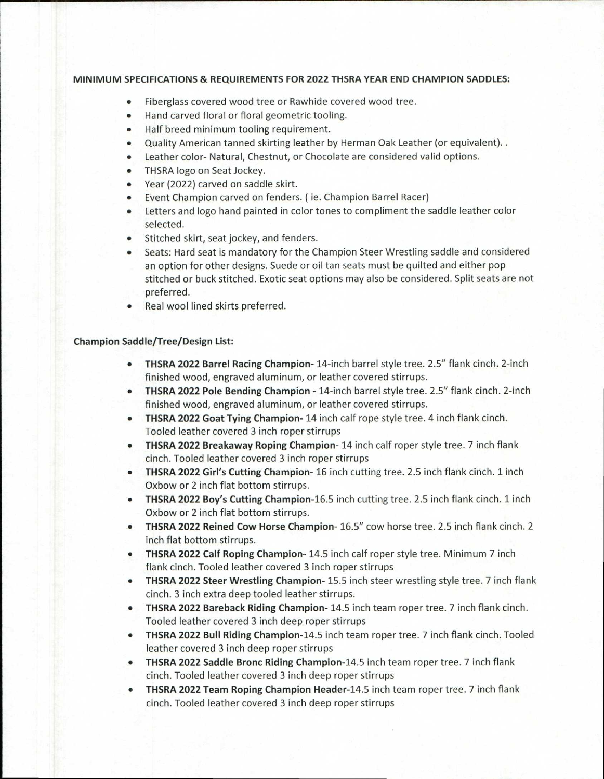## **MINIMUM SPECIFICATIONS & REQUIREMENTS FOR 2022 THSRA YEAR END CHAMPION SADDLES:**

- Fiberglass covered wood tree or Rawhide covered wood tree.
- Hand carved floral or floral geometric tooling.
- Half breed minimum tooling requirement.
- Quality American tanned skirting leather by Herman Oak Leather (or equivalent). .
- Leather color- Natural, Chestnut, or Chocolate are considered valid options.
- THSRA logo on Seat Jockey.
- Year (2022) carved on saddle skirt.
- Event Champion carved on fenders. ( ie. Champion Barrel Racer)
- Letters and logo hand painted in color tones to compliment the saddle leather color selected.
- Stitched skirt, seat jockey, and fenders.
- Seats: Hard seat is mandatory for the Champion Steer Wrestling saddle and considered an option for other designs. Suede or oil tan seats must be quilted and either pop stitched or buck stitched. Exotic seat options may also be considered. Split seats are not preferred.
- Real wool lined skirts preferred.

## **Champion Saddle/Tree/Design List:**

- **THSRA 2022 Barrel Racing Champion** 14-inch barrel style tree. 2.5" flank cinch. 2-inch finished wood, engraved aluminum, or leather covered stirrups.
- **THSRA 2022 Pole Bending Champion** 14-inch barrel style tree. 2.5" flank cinch. 2-inch finished wood, engraved aluminum, or leather covered stirrups.
- **THSRA 2022 Goat Tying Champion 14** inch calf rope style tree. 4 inch flank cinch. Tooled leather covered 3 inch roper stirrups
- **THSRA 2022 Breakaway Roping Champion 14** inch calf roper style tree. 7 inch flank cinch. Tooled leather covered 3 inch roper stirrups
- **THSRA 2022 Girl's Cutting Champion** 16 inch cutting tree. 2.5 inch flank cinch. 1 inch Oxbow or 2 inch flat bottom stirrups.
- **THSRA 2022 Boy's Cutting Champion -16.5** inch cutting tree. 2.5 inch flank cinch. 1 inch Oxbow or 2 inch flat bottom stirrups.
- **THSRA 2022 Reined Cow Horse Champion** 16.5" cow horse tree. 2.5 inch flank cinch. 2 inch flat bottom stirrups.
- **THSRA 2022 Calf Roping Champion** 14.5 inch calf roper style tree. Minimum 7 inch flank cinch. Tooled leather covered 3 inch roper stirrups
- **THSRA 2022 Steer Wrestling Champion** 15.5 inch steer wrestling style tree. 7 inch flank cinch. 3 inch extra deep tooled leather stirrups.
- **THSRA 2022 Bareback Riding Champion** 14.5 inch team roper tree. 7 inch flank cinch. Tooled leather covered 3 inch deep roper stirrups
- **THSRA 2022 Bull Riding Champion-14.5** inch team roper tree. 7 inch flank cinch. Tooled leather covered 3 inch deep roper stirrups
- **THSRA 2022 Saddle Bronc Riding Champion -14.5** inch team roper tree. 7 inch flank cinch. Tooled leather covered 3 inch deep roper stirrups
- **THSRA 2022 Team Roping Champion Header -14.5** inch team roper tree. 7 inch flank cinch. Tooled leather covered 3 inch deep roper stirrups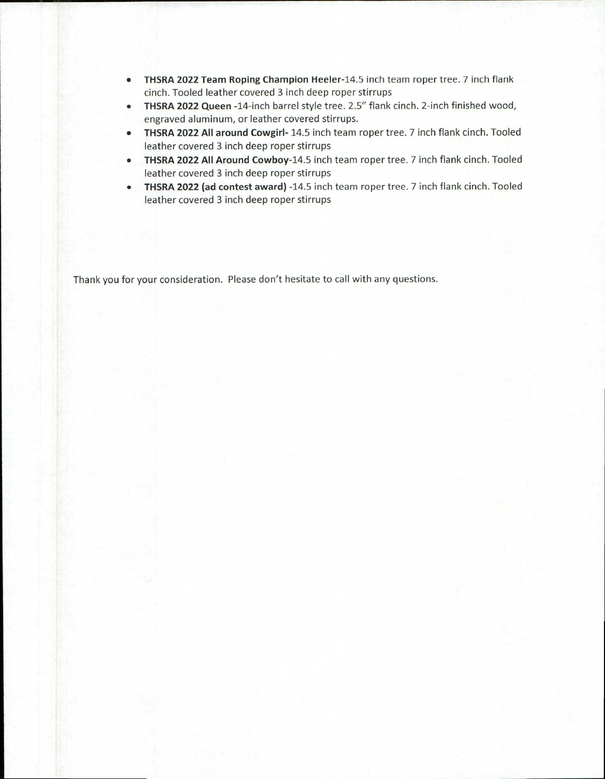- **THSRA 2022 Team Roping Champion Heeler-14.5** inch team roper tree. 7 inch flank cinch. Tooled leather covered 3 inch deep roper stirrups
- **THSRA 2022 Queen** -14-inch barrel style tree. 2.5" flank cinch. 2-inch finished wood, engraved aluminum, or leather covered stirrups.
- **THSRA 2022 All around Cowgirl-** 14.5 inch team roper tree. 7 inch flank cinch. Tooled leather covered 3 inch deep roper stirrups
- **THSRA 2022 All Around Cowboy-14.5** inch team roper tree. 7 inch flank cinch. Tooled leather covered 3 inch deep roper stirrups
- **THSRA 2022 (ad contest award)** -14.5 inch team roper tree. 7 inch flank cinch. Tooled leather covered 3 inch deep roper stirrups

Thank you for your consideration. Please don't hesitate to call with any questions.